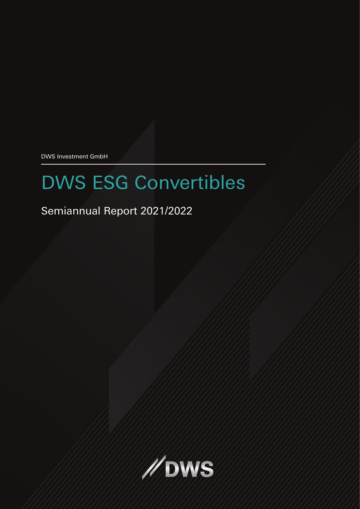DWS Investment GmbH

# DWS ESG Convertibles

# Semiannual Report 2021/2022

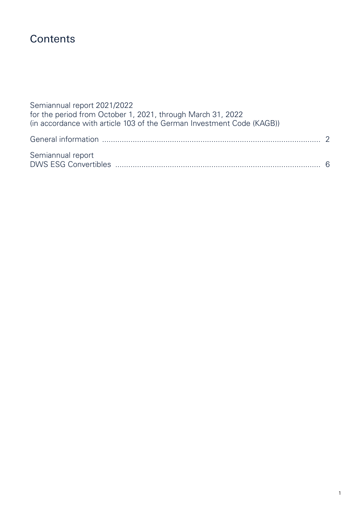# **Contents**

| Semiannual report 2021/2022<br>for the period from October 1, 2021, through March 31, 2022<br>(in accordance with article 103 of the German Investment Code (KAGB)) |  |
|---------------------------------------------------------------------------------------------------------------------------------------------------------------------|--|
|                                                                                                                                                                     |  |
| Semiannual report                                                                                                                                                   |  |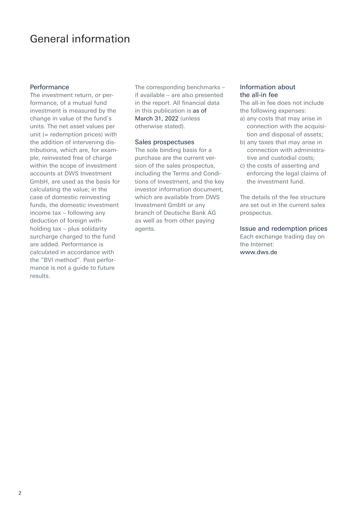# General information

### Performance

The investment return, or performance, of a mutual fund investment is measured by the change in value of the fund's units. The net asset values per unit (= redemption prices) with the addition of intervening distributions, which are, for example, reinvested free of charge within the scope of investment accounts at DWS Investment GmbH, are used as the basis for calculating the value; in the case of domestic reinvesting funds, the domestic investment income tax – following any deduction of foreign withholding tax – plus solidarity surcharge charged to the fund are added. Performance is calculated in accordance with the "BVI method". Past performance is not a guide to future results.

The corresponding benchmarks – if available – are also presented in the report. All financial data in this publication is as of March 31, 2022 (unless otherwise stated).

#### Sales prospectuses

The sole binding basis for a purchase are the current version of the sales prospectus, including the Terms and Conditions of Investment, and the key investor information document, which are available from DWS Investment GmbH or any branch of Deutsche Bank AG as well as from other paying agents.

### Information about the all-in fee

The all-in fee does not include the following expenses:

- a) any costs that may arise in connection with the acquisition and disposal of assets;
- b) any taxes that may arise in connection with administrative and custodial costs;
- c) the costs of asserting and enforcing the legal claims of the investment fund.

The details of the fee structure are set out in the current sales prospectus.

#### Issue and redemption prices Each exchange trading day on the Internet: www.dws.de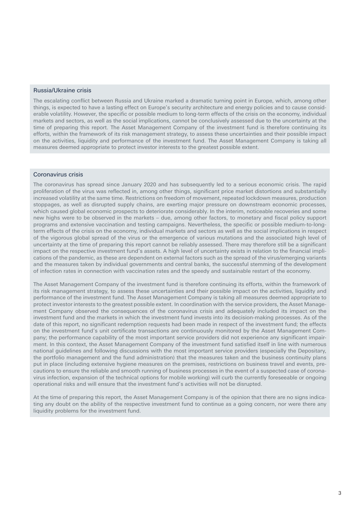#### Russia/Ukraine crisis

The escalating conflict between Russia and Ukraine marked a dramatic turning point in Europe, which, among other things, is expected to have a lasting effect on Europe's security architecture and energy policies and to cause considerable volatility. However, the specific or possible medium to long-term effects of the crisis on the economy, individual markets and sectors, as well as the social implications, cannot be conclusively assessed due to the uncertainty at the time of preparing this report. The Asset Management Company of the investment fund is therefore continuing its efforts, within the framework of its risk management strategy, to assess these uncertainties and their possible impact on the activities, liquidity and performance of the investment fund. The Asset Management Company is taking all measures deemed appropriate to protect investor interests to the greatest possible extent.

#### Coronavirus crisis

The coronavirus has spread since January 2020 and has subsequently led to a serious economic crisis. The rapid proliferation of the virus was reflected in, among other things, significant price market distortions and substantially increased volatility at the same time. Restrictions on freedom of movement, repeated lockdown measures, production stoppages, as well as disrupted supply chains, are exerting major pressure on downstream economic processes, which caused global economic prospects to deteriorate considerably. In the interim, noticeable recoveries and some new highs were to be observed in the markets – due, among other factors, to monetary and fiscal policy support programs and extensive vaccination and testing campaigns. Nevertheless, the specific or possible medium-to-longterm effects of the crisis on the economy, individual markets and sectors as well as the social implications in respect of the vigorous global spread of the virus or the emergence of various mutations and the associated high level of uncertainty at the time of preparing this report cannot be reliably assessed. There may therefore still be a significant impact on the respective investment fund's assets. A high level of uncertainty exists in relation to the financial implications of the pandemic, as these are dependent on external factors such as the spread of the virus/emerging variants and the measures taken by individual governments and central banks, the successful stemming of the development of infection rates in connection with vaccination rates and the speedy and sustainable restart of the economy.

The Asset Management Company of the investment fund is therefore continuing its efforts, within the framework of its risk management strategy, to assess these uncertainties and their possible impact on the activities, liquidity and performance of the investment fund. The Asset Management Company is taking all measures deemed appropriate to protect investor interests to the greatest possible extent. In coordination with the service providers, the Asset Management Company observed the consequences of the coronavirus crisis and adequately included its impact on the investment fund and the markets in which the investment fund invests into its decision-making processes. As of the date of this report, no significant redemption requests had been made in respect of the investment fund; the effects on the investment fund's unit certificate transactions are continuously monitored by the Asset Management Company; the performance capability of the most important service providers did not experience any significant impairment. In this context, the Asset Management Company of the investment fund satisfied itself in line with numerous national guidelines and following discussions with the most important service providers (especially the Depositary, the portfolio management and the fund administration) that the measures taken and the business continuity plans put in place (including extensive hygiene measures on the premises, restrictions on business travel and events, precautions to ensure the reliable and smooth running of business processes in the event of a suspected case of coronavirus infection, expansion of the technical options for mobile working) will curb the currently foreseeable or ongoing operational risks and will ensure that the investment fund's activities will not be disrupted.

At the time of preparing this report, the Asset Management Company is of the opinion that there are no signs indicating any doubt on the ability of the respective investment fund to continue as a going concern, nor were there any liquidity problems for the investment fund.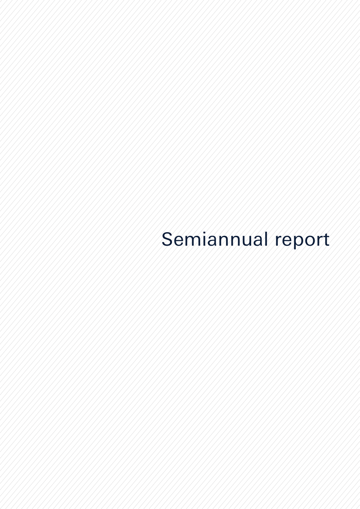# Semiannual report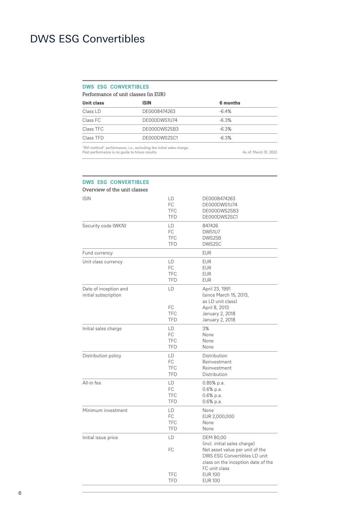## **DWS ESG Convertibles**

Performance of unit classes (in EUR)

| <b>ISIN</b>  | 6 months |  |
|--------------|----------|--|
| DE0008474263 | $-64%$   |  |
| DE000DWS1U74 | $-6.3%$  |  |
| DE000DWS2SB3 | $-6.3%$  |  |
| DE000DWS2SC1 | $-6.3%$  |  |
|              |          |  |

"BVI method" performance, i.e., excluding the initial sales charge. Past performance is no guide to future results. As of: March 31, 2022

# **DWS ESG Convertibles** Overview of the unit classes

| <b>ISIN</b>                                   | LD<br>FC<br><b>TFC</b><br><b>TFD</b>  | DE0008474263<br>DE000DWS1U74<br>DE000DWS2SB3<br>DE000DWS2SC1                                                                                           |
|-----------------------------------------------|---------------------------------------|--------------------------------------------------------------------------------------------------------------------------------------------------------|
| Security code (WKN)                           | LD<br>FC<br><b>TFC</b><br><b>TFD</b>  | 847426<br>DWS1U7<br>DWS2SB<br>DWS2SC                                                                                                                   |
| Fund currency                                 |                                       | <b>EUR</b>                                                                                                                                             |
| Unit class currency                           | LD<br>FC<br><b>TFC</b><br><b>TFD</b>  | <b>EUR</b><br><b>EUR</b><br><b>EUR</b><br><b>EUR</b>                                                                                                   |
| Date of inception and<br>initial subscription | LD<br>FC<br><b>TFC</b><br><b>TFD</b>  | April 23, 1991<br>(since March 15, 2013,<br>as LD unit class)<br>April 8, 2013<br>January 2, 2018<br>January 2, 2018                                   |
| Initial sales charge                          | LD<br>FC<br><b>TFC</b><br><b>TFD</b>  | 3%<br>None<br>None<br>None                                                                                                                             |
| Distribution policy                           | LD.<br>FC<br><b>TFC</b><br><b>TFD</b> | Distribution<br>Reinvestment<br>Reinvestment<br>Distribution                                                                                           |
| All-in fee                                    | LD<br>FC<br><b>TFC</b><br><b>TFD</b>  | $0.85%$ p.a.<br>$0.6%$ p.a.<br>$0.6%$ p.a.<br>0.6% p.a.                                                                                                |
| Minimum investment                            | LD.<br>FC<br><b>TFC</b><br><b>TFD</b> | None<br>EUR 2,000,000<br>None<br>None                                                                                                                  |
| Initial issue price                           | LD                                    | DEM 80,00                                                                                                                                              |
|                                               | FC                                    | (incl. initial sales charge)<br>Net asset value per unit of the<br>DWS ESG Convertibles LD unit<br>class on the inception date of the<br>FC unit class |
|                                               | <b>TFC</b><br><b>TFD</b>              | <b>EUR 100</b><br><b>EUR 100</b>                                                                                                                       |

j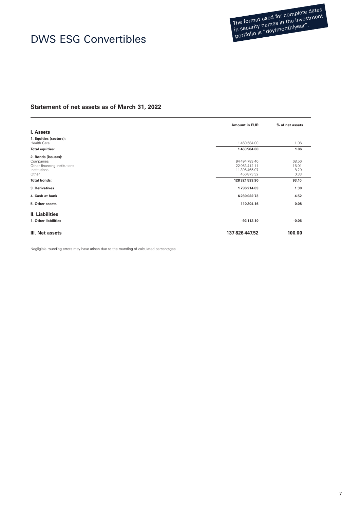The format used for complete dates The format used for completed in the investment<br>in security names in the investment n security names in the researd.<br>portfolio is "day/month/year".

# DWS ESG Convertibles

### **Statement of net assets as of March 31, 2022**

|                                                                                                                  | <b>Amount in EUR</b>                                                           | % of net assets                         |
|------------------------------------------------------------------------------------------------------------------|--------------------------------------------------------------------------------|-----------------------------------------|
| I. Assets                                                                                                        |                                                                                |                                         |
| 1. Equities (sectors):<br><b>Health Care</b>                                                                     | 1460584.00                                                                     | 1.06                                    |
| <b>Total equities:</b>                                                                                           | 1460584.00                                                                     | 1.06                                    |
| 2. Bonds (issuers):<br>Companies<br>Other financing institutions<br>Institutions<br>Other<br><b>Total bonds:</b> | 94 494 783.40<br>22 063 412.11<br>11 306 465.07<br>456873.32<br>128 321 533.90 | 68.56<br>16.01<br>8.20<br>0.33<br>93.10 |
| 3. Derivatives                                                                                                   | 1796214.83                                                                     | 1.30                                    |
| 4. Cash at bank                                                                                                  | 6230022.73                                                                     | 4.52                                    |
| 5. Other assets                                                                                                  | 110 204.16                                                                     | 0.08                                    |
| <b>II. Liabilities</b>                                                                                           |                                                                                |                                         |
| 1. Other liabilities                                                                                             | $-92$ 112.10                                                                   | $-0.06$                                 |
| III. Net assets                                                                                                  | 137 826 447.52                                                                 | 100.00                                  |

Negligible rounding errors may have arisen due to the rounding of calculated percentages.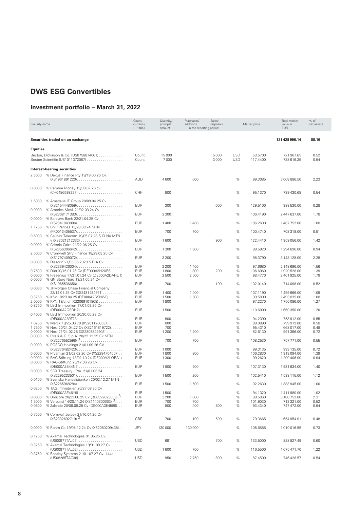## **Investment portfolio – March 31, 2022**

| Security name    |                                                                                       | Count/<br>currency<br>$(-/000)$ | Quantity/<br>principal<br>amount | Purchases/<br>additions<br>in the reporting period | Sales/<br>disposals |                          | Market price        | Total market<br>value in<br><b>EUR</b> | % of<br>net assets |
|------------------|---------------------------------------------------------------------------------------|---------------------------------|----------------------------------|----------------------------------------------------|---------------------|--------------------------|---------------------|----------------------------------------|--------------------|
|                  | Securities traded on an exchange                                                      |                                 |                                  |                                                    |                     |                          |                     | 121 428 996.14                         | 88.10              |
| <b>Equities</b>  |                                                                                       |                                 |                                  |                                                    |                     |                          |                     |                                        |                    |
|                  | Becton, Dickinson & Co. (US0758874061)<br>Boston Scientific (US1011372067)            | Count<br>Count                  | 15000<br>7000                    |                                                    | 5000<br>3000        | <b>USD</b><br><b>USD</b> | 53.5700<br>117.4400 | 721 967.65<br>738 616.35               | 0.52<br>0.54       |
|                  | Interest-bearing securities                                                           |                                 |                                  |                                                    |                     |                          |                     |                                        |                    |
| 2.3000           | % Dexus Finance Pty.19/19.06.26 Cv.<br>(XS1961891220)                                 | AUD                             | 4600                             | 600                                                |                     | %                        | 99.3085             | 3068886.50                             | 2.23               |
| 0.0000           | % Cembra Money 19/09.07.26 cv                                                         | CHF                             | 800                              |                                                    |                     | %                        | 95.1370             | 739 430.68                             | 0.54               |
| 1.5000<br>0.0000 | % Amadeus IT Group 20/09.04.25 Cv<br>(XS2154448059)<br>% America Movil 21/02.03.24 Cv | <b>EUR</b>                      | 300                              |                                                    | 600                 | %                        | 129.5100            | 388 530.00                             | 0.28               |
|                  |                                                                                       | <b>EUR</b>                      | 2 3 0 0                          |                                                    |                     | $\%$                     | 106.4190            | 2 447 637.00                           | 1.78               |
| 0.0000<br>1.1250 | % Barclays Bank 22/21.04.25 Cv<br>% BNP Paribas 19/28.08.24 MTN                       | <b>EUR</b>                      | 1400                             | 1400                                               |                     | %                        | 106.2680            | 1487752.00                             | 1.08               |
|                  |                                                                                       | <b>EUR</b>                      | 700                              | 700                                                |                     | $\%$                     | 100.4740            | 703 318.00                             | 0.51               |
| 0.5000           | % Cellnex Telecom 19/05.07.28 S.CLNX MTN                                              | <b>EUR</b>                      | 1600                             |                                                    | 900                 | %                        | 122.4410            | 1959056.00                             | 1.42               |
| 0.0000           | % Criteria Caixa 21/22.06.25 Cv.<br>$(XS2356306642)$                                  | <b>EUR</b>                      | 1 3 0 0                          | 1 3 0 0                                            |                     | %                        | 99.5920             | 1 294 696.00                           | 0.94               |
| 2.5000           | % Cromwell SPV Finance 18/29.03.25 Cv<br>$(XS1797409072)$                             | <b>EUR</b>                      | 3 2 0 0                          |                                                    |                     | %                        | 98.3790             | 3 148 128.00                           | 2.28               |
| 0.0000           | % Diasorin 21/05.05.2028 S.DIA Cv.                                                    | <b>EUR</b>                      | 2 2 0 0                          | 1400                                               |                     | $\%$                     | 97.6680             | 2 148 696.00                           | 1.56               |
| 0.7500           | % Dürr20/15.01.26 Cv (DE000A3H2XR6)                                                   | <b>EUR</b>                      | 1800                             | 800                                                | 200                 | %                        | 106.6960            | 1920 528.00                            | 1.39               |
| 0.0000<br>0.0000 | % Fresenius 17/31.01.24 Cv (DE000A2DAHU1)                                             | <b>EUR</b>                      | 2500                             | 2500                                               |                     | %                        | 98.4770             | 2 461 925.00                           | 1.79               |
|                  | % GN Store Nord 19/21.05.24 Cv<br>(XS1965536656)                                      | EUR                             | 700                              |                                                    | 1 1 0 0             | %                        | 102.0140            | 714 098.00                             | 0.52               |
| 0.0000           | % JPMorgan Chase Financial Company                                                    |                                 |                                  |                                                    |                     |                          |                     |                                        |                    |
|                  | 22/14.01.25 Cv (XS2431434971)                                                         | <b>EUR</b>                      | 1400                             | 1400                                               |                     | %                        | 107.1190            | 1499666.00                             | 1.09               |
| 0.3750<br>2.0000 | % Kfw 18/23.04.25 (DE000A2GSNW0)<br>% KPN 19/und. (XS2069101868)                      | <b>EUR</b><br><b>EUR</b>        | 1500<br>1800                     | 1500                                               |                     | $\%$<br>%                | 99.5890<br>97.2270  | 1493835.00<br>1750 086.00              | 1.08<br>1.27       |
| 0.8750           | % LEG Immobilien 17/01.09.25 Cv                                                       | <b>EUR</b>                      | 1500                             |                                                    |                     | %                        | 110.6900            | 1660350.00                             | 1.20               |
| 0.4000           | % LEG Immobilien 20/30.06.28 Cv                                                       |                                 |                                  |                                                    |                     |                          |                     |                                        |                    |
|                  |                                                                                       | <b>EUR</b><br><b>EUR</b>        | 800                              |                                                    |                     | %<br>%                   | 94.2390             | 753 912.00                             | 0.55<br>0.58       |
| 1.6250<br>1.7500 | % Merck 19/25.06.79 (XS2011260531)<br>% Nexi 20/24.04.27 Cv (XS2161819722)            | <b>EUR</b>                      | 800<br>700                       |                                                    |                     | %                        | 99.9890<br>95.4310  | 799 912.00<br>668 017.00               | 0.48               |
| 0.0000           | % Nexi 21/24.02.28 (XS2305842903)                                                     | <b>EUR</b>                      | 1 2 0 0                          | 1 2 0 0                                            |                     | %                        | 82.6130             | 991 356.00                             | 0.72               |
| 0.0000           | % Pirelli & C. S.p.A. 20/22.12.25 Cv MTN                                              |                                 |                                  |                                                    |                     |                          |                     |                                        |                    |
| 0.0000           | $(XS2276552598)$ <sup>3</sup><br>% POSCO Holdings 21/01.09.26 CV                      | <b>EUR</b>                      | 700                              | 700                                                |                     | %                        | 108.2530            | 757 771.00                             | 0.55               |
|                  |                                                                                       | <b>EUR</b>                      | 1 0 0 0                          |                                                    |                     | %                        | 99.3135             | 993 135.00                             | 0.72               |
| 0.0000           | % Prysmian 21/02.02.26 Cv (XS2294704007)                                              | <b>EUR</b>                      | 1800                             | 800                                                |                     | $\%$                     | 106.2830            | 1913094.00                             | 1.39               |
| 0.0000<br>0.0000 | % RAG-Stiftung 18/02.10.24 (DE000A2LQRA1)<br>% RAG-Stiftung 20/17.06.26 Cv            | <b>EUR</b>                      | 1 3 0 0                          |                                                    |                     | %                        | 99.2620             | 1 290 406.00                           | 0.94               |
| 0.0000           | (DE000A3E44N7)<br>% SGX Treasury I Pte. 21/01.03.24                                   | <b>EUR</b>                      | 1800                             | 500                                                |                     | %                        | 107.3130            | 1931634.00                             | 1.40               |
| 0.0100           | % Svenska Handelsbanken 20/02.12.27 MTN                                               | <b>EUR</b>                      | 1500                             | 200                                                |                     | %                        | 102.5410            | 1538115.00                             | 1.12               |
| 0.6250           | % TAG Immobilien 20/27.08.26 Cv                                                       | <b>EUR</b>                      | 1500                             | 1500                                               |                     | %                        | 92.2630             | 1383945.00                             | 1.00               |
|                  | (DE000A3E46Y9)                                                                        | EUR                             | 1500                             |                                                    |                     | $\%$                     | 94.1320             | 1411980.00                             | 1.02               |
| 0.0000           | % Umicore 20/23.06.25 Cv (BE6322623669) 3                                             | <b>EUR</b>                      | 3 2 0 0                          | 1 0 0 0                                            |                     | $\%$                     | 99.5860             | 3 186 752.00                           | 2.31               |
| 1.5000           | % Verbund 14/20.11.24 (XS1140300663) 3                                                | <b>EUR</b>                      | 700                              | 700                                                |                     | $\%$                     | 101.9030            | 713 321.00                             | 0.52               |
| 0.0500           | % Zalando 20/06.08.25 Cv (DE000A3E4589).                                              | EUR                             | 800                              | 400                                                | 800                 | $\%$                     | 93.4340             | 747 472.00                             | 0.54               |
| 0.7500           | % Cornwall Jersey 21/16.04.26 Cv<br>$(XS2332692719)$ <sup>3</sup>                     | GBP                             | 700                              | 100                                                | 1500                | %                        | 79.3665             | 654 954.91                             | 0.48               |
| 0.0000           | % Rohm Co 19/05.12.24 Cv (XS2080209435)                                               | <b>JPY</b>                      | 130 000                          | 130 000                                            |                     | $\%$                     | 105.6555            | 1010016.55                             | 0.73               |
| 0.1250           | % Akamai Technologies 01.05.25 Cv.                                                    |                                 |                                  |                                                    |                     |                          |                     |                                        |                    |
| 0.3750           | % Akamai Technologies 19/01.09.27 Cv                                                  | <b>USD</b>                      | 691                              |                                                    | 700                 | %                        | 133.5000            | 828 827.49                             | 0.60               |
| 0.3750           |                                                                                       | <b>USD</b>                      | 1600                             | 700                                                |                     | $\%$                     | 116.5500            | 1675471.70                             | 1.22               |
|                  | % Bentley Systems 21/01.07.27 Cv. 144a<br>(US08265TAC36)                              | <b>USD</b>                      | 950                              | 2750                                               | 1800                | %                        | 87.4500             | 746 428.57                             | 0.54               |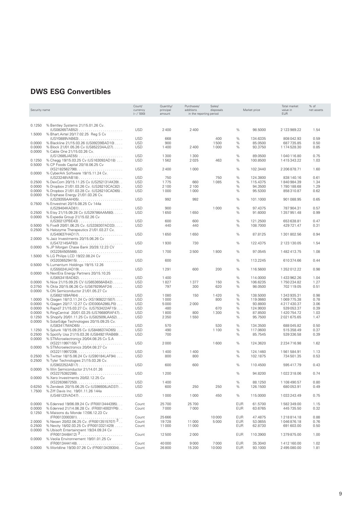| Security name    |                                                                                                      | Count/<br>currency<br>$(- / '000)$ | Quantity/<br>principal<br>amount | Purchases/<br>additions<br>in the reporting period | Sales/<br>disposals | Market price |                      | Total market<br>value in<br><b>EUR</b> | % of<br>net assets |
|------------------|------------------------------------------------------------------------------------------------------|------------------------------------|----------------------------------|----------------------------------------------------|---------------------|--------------|----------------------|----------------------------------------|--------------------|
| 0.1250           | % Bentley Systems 21/15.01.26 Cv.                                                                    |                                    |                                  |                                                    |                     |              |                      |                                        |                    |
| 1.5000           | % Bhart.Airtel 20/17.02.25 Reg S Cv                                                                  | <b>USD</b>                         | 2400                             | 2400                                               |                     | %            | 98.5000              | 2123989.22                             | 1.54               |
|                  | (USY0889VAB63)                                                                                       | <b>USD</b>                         | 668                              |                                                    | 400                 | %            | 134.6335             | 808 042.93                             | 0.59               |
| 0.0000           | % Blackline 21/15.03.26 (US09239BAD10)                                                               | <b>USD</b>                         | 900                              |                                                    | 1500                | %            | 85.0500              | 687 735.85                             | 0.50               |
| 0.0000           | % Block 21/01.05.26 Cv (US852234AJ27)                                                                | <b>USD</b>                         | 1400                             | 2400                                               | 1000                | %            | 93.3750              | 1174528.30                             | 0.85               |
| 0.0000           | % Cable One 21/15.03.26 Cv.                                                                          |                                    |                                  |                                                    |                     |              |                      |                                        |                    |
|                  |                                                                                                      | <b>USD</b>                         | 1 3 0 0                          | 1 3 0 0                                            |                     | $\%$         | 89.0500              | 1040116.80                             | 0.75               |
| 0.1250           | % Chegg 19/15.03.25 Cv (US163092AD18)                                                                | <b>USD</b>                         | 1562                             | 2025                                               | 463                 | %            | 100.8500             | 1415343.22                             | 1.03               |
| 0.5000           | % CP Foods Capital 20/18.06.25 Cv                                                                    |                                    |                                  |                                                    |                     |              |                      |                                        |                    |
| 0.0000           | (XS2182562798)<br>% CyberArk Software 19/15.11.24 Cv.                                                | <b>USD</b>                         | 2400                             | 1 0 0 0                                            |                     | %            | 102.3440             | 2 206 878.71                           | 1.60               |
|                  | (US23248VAB18)                                                                                       | <b>USD</b>                         | 750                              |                                                    | 750                 | $\%$         | 124.3800             | 838 140.16                             | 0.61               |
| 0.2500           | % DexCom 20/15.11.25 Cv (US252131AK39)                                                               | <b>USD</b>                         | 1775                             | 660                                                | 1085                | %            | 115.4375             | 1840984.39                             | 1.34               |
| 0.0000           | % Dropbox 21/01.03.26 Cv. (US26210CAC82).                                                            | <b>USD</b>                         | 2 1 0 0                          | 2 1 0 0                                            |                     | %            | 94.3500              | 1780 188.68                            | 1.29               |
| 0.0000           | % Dropbox 21/01.03.28 Cv. (US26210CAD65).                                                            | <b>USD</b>                         | 1 0 0 0                          | 1 0 0 0                                            |                     | %            | 95.5300              | 858310.87                              | 0.62               |
| 0.0000           | % Enphase Energy 21/01.03.26 Cv.                                                                     |                                    |                                  |                                                    |                     |              |                      |                                        |                    |
|                  | (US29355AAH05)                                                                                       | <b>USD</b>                         | 992                              | 992                                                |                     | %            | 101.1000             | 901 088.95                             | 0.65               |
| 0.7500           | % Envestnet 20/15.08.25 Cv 144a                                                                      | <b>USD</b>                         | 900                              |                                                    | 1000                | %            | 97.4375              | 787 904.31                             | 0.57               |
| 0.2500           | (US29404KAD81)<br>% Etsy 21/15.09.28 Cv (US29786AAM80).                                              | <b>USD</b>                         | 1650                             | 1650                                               |                     | %            | 91.6000              | 1357951.48                             | 0.99               |
| 0.0000           | % Expedia Group 21/15.02.26 Cv                                                                       |                                    |                                  |                                                    |                     |              |                      |                                        |                    |
|                  | (US30212PBE43)                                                                                       | <b>USD</b>                         | 600                              | 600                                                |                     | $\%$         | 121.2500             | 653 638.81                             | 0.47               |
| 0.5000           | % Five9 20/01.06.25 Cv. (US338307AD33)                                                               | <b>USD</b>                         | 440                              | 440                                                |                     | %            | 108.7000             | 429 721.47                             | 0.31               |
| 0.2500           | % Halozyme Therapeutics 21/01.03.27 Cv.                                                              |                                    |                                  |                                                    |                     |              |                      |                                        |                    |
|                  |                                                                                                      | <b>USD</b>                         | 1650                             | 1650                                               |                     | %            | 87.8125              | 1 301 802.56                           | 0.94               |
| 2.0000           | % Jazz Investments 20/15.06.26 Cv                                                                    |                                    |                                  |                                                    |                     |              |                      |                                        |                    |
| 0.0000           | % JP Morgan Chase Bank 20/28.12.23 CV                                                                | <b>USD</b>                         | 1930                             | 730                                                |                     | %            | 122.4375             | 2 123 130.05                           | 1.54               |
|                  |                                                                                                      | <b>USD</b>                         | 1700                             | 3500                                               | 1800                | %            | 97.0545              | 1482413.75                             | 1.08               |
| 1.5000           | % LG Philips LCD 19/22.08.24 Cv                                                                      |                                    |                                  |                                                    |                     |              |                      |                                        |                    |
|                  | $(XS2036529415)$                                                                                     | <b>USD</b>                         | 600                              |                                                    |                     | %            | 113.2245             | 610374.66                              | 0.44               |
| 0.5000           | % Lumentum Holdings 19/15.12.26                                                                      |                                    |                                  |                                                    |                     |              |                      |                                        |                    |
|                  | (US55024UAD19)                                                                                       | <b>USD</b>                         | 1 2 9 1                          | 600                                                | 200                 | %            | 116.5600             | 1352012.22                             | 0.98               |
| 0.0000           | % NextEra Energy Partners 20/15.10.25                                                                |                                    |                                  |                                                    |                     |              |                      |                                        |                    |
|                  |                                                                                                      | <b>USD</b>                         | 1400                             |                                                    |                     | %            | 114,0000             | 1433962.26                             | 1.04               |
| 0.0000<br>0.3750 | % Nice 21/15.09.25 CV (US653656AB42)<br>% Okta 20/15.06.26 Cv (US679295AF24)                         | <b>USD</b><br><b>USD</b>           | 1827<br>797                      | 1377<br>300                                        | 150<br>620          | %<br>%       | 106.6235<br>98.0500  | 1750 234.82<br>702 119.05              | 1.27<br>0.51       |
| 0.0000           | % ON Semiconductor 21/01.05.27 Cv                                                                    |                                    |                                  |                                                    |                     |              |                      |                                        |                    |
|                  | (US682189AR64)                                                                                       | <b>USD</b>                         | 1080                             | 150                                                | 1420                | %            | 138.5000             | 1343935.31                             | 0.98               |
| 1.0000           | % Qiagen 18/13.11.24 Cv (XS1908221507).                                                              | <b>USD</b>                         | 1 0 0 0                          |                                                    | 800                 | %            | 119.0660             | 1069775.38                             | 0.78               |
| 0.0000           | % Qiagen 20/17.12.27 Cv (DE000A286LP0)                                                               | <b>USD</b>                         | 5 0 0 0                          | 2000                                               |                     | %            | 93.8800              | 4217430.37                             | 3.06               |
| 0.0000           | % Rapid7 21/15.03.27 Cv. (US753422AF15)                                                              | <b>USD</b>                         | 480                              |                                                    | 670                 | %            | 124.9930             | 539 053.37                             | 0.39               |
| 0.0000           | % RingCentral 20/01.03.25 (US76680RAF47)                                                             | <b>USD</b>                         | 1800                             | 800                                                | 1 3 0 0             | %            | 87.8500              | 1420 754.72                            | 1.03               |
| 0.1250           | % Shopify 20/01.11.25 Cv (US82509LAA52)                                                              | <b>USD</b>                         | 2 3 5 0                          | 1550                                               |                     | %            | 95.7500              | 2021675.65                             | 1.47               |
| 0.0000           | % SolarEdge Technologies 20/15.09.25 Cv.                                                             |                                    |                                  |                                                    |                     |              |                      |                                        |                    |
| 1.1250           | $(US83417MAD65) \ldots \ldots \ldots \ldots \ldots \ldots$<br>% Splunk 18/15.09.25 Cv (US848637AD65) | <b>USD</b><br><b>USD</b>           | 570<br>490                       |                                                    | 530<br>1100         | %<br>%       | 134.3500<br>117.0600 | 688 045.82<br>515 358.49               | 0.50<br>0.37       |
| 0.2500           | % Spotify Usa 21/15.03.26 (US84921RAB69)                                                             | <b>USD</b>                         | 700                              |                                                    |                     | %            | 85.7545              | 539 336.58                             | 0.39               |
| 0.0000           | % STMicroelectronics 20/04.08.25 Cv S.A                                                              |                                    |                                  |                                                    |                     |              |                      |                                        |                    |
|                  |                                                                                                      | <b>USD</b>                         | 2000                             |                                                    | 1600                | %            | 124.3620             | 2 2 3 4 7 1 6 . 9 8                    | 1.62               |
| 0.0000           | % STMicroelectronics 20/04.08.27 Cv                                                                  |                                    |                                  |                                                    |                     |              |                      |                                        |                    |
|                  | (XS2211997239)                                                                                       | <b>USD</b>                         | 1400                             | 1400                                               |                     | $\%$         | 124.1460             | 1561584.91                             | 1.13               |
| 0.2500           | % Twitter 18/15.06.24 Cv (US90184LAF94)                                                              | <b>USD</b>                         | 800                              | 800                                                |                     | %            | 102.1875             | 734 501.35                             | 0.53               |
| 0.2500           | % Tyler Technologies 21/15.03.26 Cv.                                                                 | <b>USD</b>                         | 600                              | 600                                                |                     | %            | 110.4500             | 595 417.79                             | 0.43               |
| 0.0000           | (US902252AB17)<br>% Win Semiconductor 21/14.01.26                                                    |                                    |                                  |                                                    |                     |              |                      |                                        |                    |
|                  | (XS2275382286).<br>.                                                                                 | <b>USD</b>                         | 1 2 0 0                          |                                                    |                     | %            | 94.8200              | 1022318.06                             | 0.74               |
| 0.0000           | % Xero Investments 20/02.12.25 Cv                                                                    |                                    |                                  |                                                    |                     |              |                      |                                        |                    |
|                  | $(XS2263667250)$                                                                                     | <b>USD</b>                         | 1400                             |                                                    |                     | %            | 88.1250              | 1 108 490.57                           | 0.80               |
| 0.6250           | % Zendesk 20/15.06.25 Cv (US98936JAD37)                                                              | <b>USD</b>                         | 600                              | 250                                                | 250                 | %            | 126.1500             | 680 053.91                             | 0.49               |
| 1.7500           | % Ziff Davis Inc. 19/01.11.26 144a                                                                   |                                    |                                  |                                                    |                     |              |                      |                                        |                    |
|                  | (US48123VAD47)                                                                                       | <b>USD</b>                         | 1 0 0 0                          | 1 0 0 0                                            | 450                 | %            | 115,0000             | 1033 243.49                            | 0.75               |
| 0.0000           | % Edenred 19/06.09.24 Cv (FR0013444395)                                                              | Count                              | 25 700                           | 25 700                                             |                     | <b>EUR</b>   | 61.5700              | 1582349.00                             | 1.15               |
| 0.0000           | % Edenred 21/14.06.28 Cv. (FR0014003YP6)                                                             | Count                              | 7000                             | 7000                                               |                     | <b>EUR</b>   | 63.6765              | 445 735.50                             | 0.32               |
| 0.1250           | % Maisons du Monde 17/06.12.23 Cv                                                                    |                                    |                                  |                                                    |                     |              |                      |                                        |                    |
|                  |                                                                                                      | Count                              | 25 6 66                          |                                                    | 10000               | <b>EUR</b>   | 47.4875              | 1218814.18                             | 0.88               |
| 2.0000           | % Neoen 20/02.06.25 Cv. (FR0013515707) 3                                                             | Count                              | 19728                            | 11 000                                             | 5000                | <b>EUR</b>   | 53.0655              | 1046876.18                             | 0.76               |
| 0.2500           | % Nexity 18/02.03.25 Cv (FR0013321429)                                                               | Count                              | 11 000                           | 11 000                                             |                     | <b>EUR</b>   | 62.8730              | 691 603.00                             | 0.50               |
| 0.0000           | % Ubisoft Entertainment 19/24.09.24 Cv                                                               |                                    |                                  |                                                    |                     |              |                      |                                        |                    |
|                  | $(FR0013448412)$ <sup>3</sup>                                                                        | Count                              | 12 500                           | 2000                                               |                     | <b>EUR</b>   | 110.3900             | 1379875.00                             | 1.00               |
| 0.0000           | % Veolia Environnement 19/01.01.25 Cv<br>(FR0013444148)                                              | Count                              | 40 000                           | 9000                                               | 7000                | <b>EUR</b>   | 35.3040              | 1412160.00                             | 1.02               |
| 0.0000           | % Worldline 19/30.07.26 Cv (FR0013439304)                                                            | Count                              | 26 800                           | 15 200                                             | 10000               | <b>EUR</b>   | 93.1000              | 2 495 080.00                           | 1.81               |
|                  |                                                                                                      |                                    |                                  |                                                    |                     |              |                      |                                        |                    |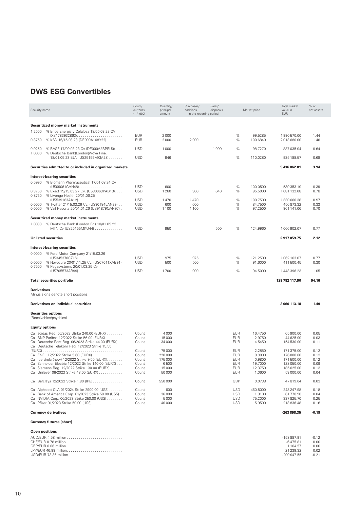| Security name         |                                                                            | Count/<br>currency<br>$(- / '000)$ | Quantity/<br>principal<br>amount | Purchases/<br>additions<br>in the reporting period | Sales/<br>disposals |                          | Market price        | Total market<br>value in<br><b>EUR</b> | % of<br>net assets |
|-----------------------|----------------------------------------------------------------------------|------------------------------------|----------------------------------|----------------------------------------------------|---------------------|--------------------------|---------------------|----------------------------------------|--------------------|
|                       |                                                                            |                                    |                                  |                                                    |                     |                          |                     |                                        |                    |
|                       | Securitized money market instruments                                       |                                    |                                  |                                                    |                     |                          |                     |                                        |                    |
| 1.2500                | % Ence Energia y Celulosa 18/05.03.23 CV                                   |                                    |                                  |                                                    |                     |                          |                     |                                        |                    |
| 0.3750                | % KfW 16/15.03.23 (DE000A168Y22)                                           | <b>EUR</b><br><b>EUR</b>           | 2000<br>2000                     | 2000                                               |                     | $\%$<br>%                | 99.5285<br>100.6840 | 1990 570.00<br>2013680.00              | 1.44<br>1.46       |
| 0.9250<br>1.0000      | % BASF 17/09.03.23 Cv (DE000A2BPEU0)<br>% Deutsche Bank(London)/Voya Fina. | <b>USD</b>                         | 1 0 0 0                          |                                                    | 1000                | %                        | 98.7270             | 887 035.04                             | 0.64               |
|                       | 18/01.05.23 ELN (US25155MKM28)                                             | <b>USD</b>                         | 946                              |                                                    |                     | $\%$                     | 110.0280            | 935 188.57                             | 0.68               |
|                       | Securities admitted to or included in organized markets                    |                                    |                                  |                                                    |                     |                          |                     | 5436062.01                             | 3.94               |
|                       | Interest-bearing securities                                                |                                    |                                  |                                                    |                     |                          |                     |                                        |                    |
| 0.5990                | % Biomarin Pharmaceutical 17/01.08.24 Cv                                   |                                    |                                  |                                                    |                     |                          |                     |                                        |                    |
|                       |                                                                            | <b>USD</b>                         | 600                              |                                                    |                     | %                        | 100.0500            | 539 353.10                             | 0.39               |
| 0.3750<br>0.8750      | % Exact 19/15.03.27 Cv. (US30063PAB13)<br>% Livongo Health 20/01.06.25     | <b>USD</b>                         | 1 2 6 0                          | 300                                                | 640                 | %                        | 95.5000             | 1081132.08                             | 0.78               |
|                       |                                                                            | <b>USD</b>                         | 1470                             | 1470                                               |                     | %                        | 100.7500            | 1330 660.38                            | 0.97               |
| 0.0000                | % Twitter 21/15.03.26 Cv. (US90184LAN29)                                   | <b>USD</b>                         | 600                              | 600                                                |                     | %                        | 84.7500             | 456 873.32                             | 0.33               |
| 0.0000                | % Vail Resorts 20/01.01.26 (US91879QAN97).                                 | <b>USD</b>                         | 1 1 0 0                          | 1 1 0 0                                            |                     | %                        | 97.2500             | 961 141.06                             | 0.70               |
|                       | Securitized money market instruments                                       |                                    |                                  |                                                    |                     |                          |                     |                                        |                    |
| 1.0000                | % Deutsche Bank (London Br.) 18/01.05.23                                   |                                    |                                  |                                                    |                     |                          |                     |                                        |                    |
|                       | MTN Cv (US25155MKU44)                                                      | <b>USD</b>                         | 950                              |                                                    | 500                 | $\%$                     | 124.9960            | 1066902.07                             | 0.77               |
|                       | <b>Unlisted securities</b>                                                 |                                    |                                  |                                                    |                     |                          |                     | 2917059.75                             | 2.12               |
|                       | Interest-bearing securities                                                |                                    |                                  |                                                    |                     |                          |                     |                                        |                    |
| 0.0000                | % Ford Motor Company 21/15.03.26                                           |                                    |                                  |                                                    |                     |                          |                     |                                        |                    |
|                       | $(US345370CZ16) \ldots \ldots \ldots \ldots$                               | <b>USD</b>                         | 975                              | 975                                                |                     | %                        | 121.2500            | 1062 163.07                            | 0.77               |
| 0.0000                | % Novocure 20/01.11.25 Cv. (US67011XAB91)                                  | <b>USD</b>                         | 500                              | 500                                                |                     | %                        | 91.6000             | 411 500.45                             | 0.30               |
| 0.7500                | % Pegasystems 20/01.03.25 Cv<br>(US705573AB99)                             | <b>USD</b>                         | 1700                             | 900                                                |                     | $\%$                     | 94.5000             | 1443396.23                             | 1.05               |
|                       | <b>Total securities portfolio</b>                                          |                                    |                                  |                                                    |                     |                          |                     | 129 782 117.90                         | 94.16              |
|                       |                                                                            |                                    |                                  |                                                    |                     |                          |                     |                                        |                    |
| Derivatives           | Minus signs denote short positions                                         |                                    |                                  |                                                    |                     |                          |                     |                                        |                    |
|                       | Derivatives on individual securities                                       |                                    |                                  |                                                    |                     |                          |                     | 2060113.18                             | 1.49               |
|                       |                                                                            |                                    |                                  |                                                    |                     |                          |                     |                                        |                    |
|                       | <b>Securities options</b><br>(Receivables/payables)                        |                                    |                                  |                                                    |                     |                          |                     |                                        |                    |
| <b>Equity options</b> |                                                                            |                                    |                                  |                                                    |                     |                          |                     |                                        |                    |
|                       | Call adidas Reg. 06/2023 Strike 240.00 (EURX)                              | Count                              | 4000                             |                                                    |                     | <b>EUR</b>               | 16.4750             | 65 900.00                              | 0.05               |
|                       | Call BNP Paribas 12/2022 Strike 56.00 (EURX)                               | Count                              | 15000                            |                                                    |                     | <b>EUR</b>               | 2.9750              | 44 625.00                              | 0.03               |
|                       | Call Deutsche Post Reg. 06/2023 Strike 44.00 (EURX).                       | Count                              | 34 000                           |                                                    |                     | EUR                      | 4.5450              | 154 530.00                             | 0.11               |
|                       | Call Deutsche Telekom Reg. 12/2023 Strike 15.50                            |                                    |                                  |                                                    |                     |                          |                     |                                        |                    |
|                       | Call ENEL 12/2022 Strike 5.60 (EURX)                                       | Count                              | 75 000<br>220 000                |                                                    |                     | <b>EUR</b>               | 2.2850              | 171375.00                              | 0.12               |
|                       | Call Iberdrola (new) 12/2022 Strike 9.50 (EURX).                           | Count<br>Count                     | 175 000                          |                                                    |                     | <b>EUR</b><br><b>EUR</b> | 0.8000<br>0.9800    | 176 000.00<br>171500.00                | 0.13<br>0.12       |
|                       | Call Schneider Electric 12/2022 Strike 140.00 (EURX)                       | Count                              | 6500                             |                                                    |                     | <b>EUR</b>               | 19.7000             | 128 050.00                             | 0.09               |
|                       | Call Siemens Reg. 12/2022 Strike 130.00 (EURX)                             | Count                              | 15000                            |                                                    |                     | <b>EUR</b>               | 12.3750             | 185 625.00                             | 0.13               |
|                       | Call Unilever 06/2023 Strike 48.00 (EURX)                                  | Count                              | 50000                            |                                                    |                     | <b>EUR</b>               | 1.0600              | 53 000.00                              | 0.04               |
|                       | Call Barclays 12/2022 Strike 1.80 (IPE)                                    | Count                              | 550000                           |                                                    |                     | <b>GBP</b>               | 0.0738              | 47819.04                               | 0.03               |
|                       | Call Alphabet Cl.A 01/2024 Strike 2900.00 (USS)                            | Count                              | 600                              |                                                    |                     | <b>USD</b>               | 460.5000            | 248 247.98                             | 0.18               |
|                       | Call Bank of America Corp. 01/2023 Strike 50.00 (USS)                      | Count                              | 36 000                           |                                                    |                     | <b>USD</b>               | 1.9100              | 61778.98                               | 0.04               |
|                       | Call NVIDIA Corp. 06/2023 Strike 250.00 (USS)                              | Count                              | 5000                             |                                                    |                     | <b>USD</b>               | 75.2000             | 337 825.70                             | 0.25               |
|                       | Call Pfizer 01/2023 Strike 50.00 (USS)                                     | Count                              | 40 000                           |                                                    |                     | <b>USD</b>               | 5.9500              | 213836.48                              | 0.16               |
|                       | <b>Currency derivatives</b>                                                |                                    |                                  |                                                    |                     |                          |                     | -263 898.35                            | $-0.19$            |
|                       | <b>Currency futures (short)</b>                                            |                                    |                                  |                                                    |                     |                          |                     |                                        |                    |

# **Open positions**

| $-158887.91$  | $-0.12$  |
|---------------|----------|
| -6475.81      | 0.00     |
| 1 164 57      | $0.00 -$ |
| 21 239.32     | 0.02     |
| $-290.947.55$ | $-0.21$  |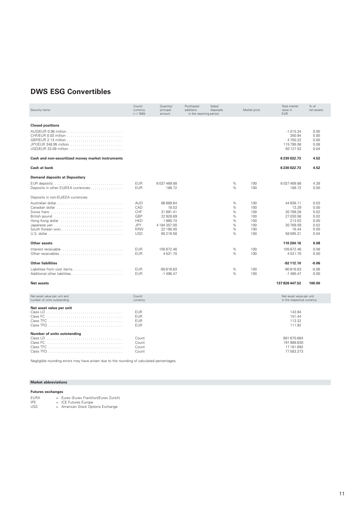| Security name                                                | Count/<br>currency<br>$(- / '000)$                                                      | Quantity/<br>principal<br>amount                                                                | Purchases/<br>additions<br>in the reporting period | Sales/<br>disposals |                                         | Market price                                         | Total market<br>value in<br><b>EUR</b>                                                         | % of<br>net assets                                           |
|--------------------------------------------------------------|-----------------------------------------------------------------------------------------|-------------------------------------------------------------------------------------------------|----------------------------------------------------|---------------------|-----------------------------------------|------------------------------------------------------|------------------------------------------------------------------------------------------------|--------------------------------------------------------------|
|                                                              |                                                                                         |                                                                                                 |                                                    |                     |                                         |                                                      |                                                                                                |                                                              |
| <b>Closed positions</b>                                      |                                                                                         |                                                                                                 |                                                    |                     |                                         |                                                      |                                                                                                |                                                              |
|                                                              |                                                                                         |                                                                                                 |                                                    |                     |                                         |                                                      | $-1015.34$<br>350.94<br>4750.32<br>115 795.58<br>50 127.53                                     | 0.00<br>0.00<br>0.00<br>0.08<br>0.04                         |
| Cash and non-securitized money market instruments            |                                                                                         |                                                                                                 |                                                    |                     |                                         |                                                      | 6230022.73                                                                                     | 4.52                                                         |
| Cash at bank                                                 |                                                                                         |                                                                                                 |                                                    |                     |                                         |                                                      | 6230022.73                                                                                     | 4.52                                                         |
| <b>Demand deposits at Depositary</b>                         |                                                                                         |                                                                                                 |                                                    |                     |                                         |                                                      |                                                                                                |                                                              |
| Deposits in other EU/EEA currencies                          | <b>EUR</b><br><b>EUR</b>                                                                | 6037469.88<br>188.72                                                                            |                                                    |                     | %<br>%                                  | 100<br>100                                           | 6037469.88<br>188.72                                                                           | 4.38<br>0.00                                                 |
| Deposits in non-EU/EEA currencies                            |                                                                                         |                                                                                                 |                                                    |                     |                                         |                                                      |                                                                                                |                                                              |
| Australian dollar<br>Hong Kong dollar                        | <b>AUD</b><br>CAD<br>CHF<br>GBP<br><b>HKD</b><br><b>JPY</b><br><b>KRW</b><br><b>USD</b> | 66889.64<br>18.53<br>31 691.41<br>22928.69<br>1860.74<br>4 184 357.00<br>22 190.00<br>65 216.58 |                                                    |                     | %<br>%<br>%<br>%<br>%<br>$\%$<br>%<br>% | 100<br>100<br>100<br>100<br>100<br>100<br>100<br>100 | 44 936.11<br>13.29<br>30789.28<br>27 030.58<br>213.53<br>30769.59<br>16.44<br>58 595.31        | 0.03<br>0.00<br>0.02<br>0.02<br>0.00<br>0.02<br>0.00<br>0.04 |
| Other assets                                                 |                                                                                         |                                                                                                 |                                                    |                     |                                         |                                                      | 110 204.16                                                                                     | 0.08                                                         |
| Interest receivable response to contract the contract of the | <b>EUR</b><br><b>EUR</b>                                                                | 105 672.46<br>4531.70                                                                           |                                                    |                     | %<br>%                                  | 100<br>100                                           | 105 672.46<br>4531.70                                                                          | 0.08<br>0.00                                                 |
| <b>Other liabilities</b>                                     |                                                                                         |                                                                                                 |                                                    |                     |                                         |                                                      | -92 112.10                                                                                     | $-0.06$                                                      |
| Liabilities from cost items                                  | <b>EUR</b><br><b>EUR</b>                                                                | $-90616.63$<br>$-1495.47$                                                                       |                                                    |                     | %<br>$\%$                               | 100<br>100                                           | $-90616.63$<br>$-1495.47$                                                                      | $-0.06$<br>0.00                                              |
| <b>Net assets</b>                                            |                                                                                         |                                                                                                 |                                                    |                     |                                         |                                                      | 137 826 447.52                                                                                 | 100.00                                                       |
| Net asset value per unit and<br>number of units outstanding  | Count/<br>currency                                                                      |                                                                                                 |                                                    |                     |                                         |                                                      | Net asset value per unit<br>in the respective currency                                         |                                                              |
| Net asset value per unit<br>Number of units outstanding      | EUR<br><b>EUR</b><br><b>EUR</b><br><b>EUR</b><br>Count<br>Count<br>Count<br>Count       |                                                                                                 |                                                    |                     |                                         |                                                      | 143.94<br>151.44<br>113.32<br>111.92<br>681 670.684<br>191 988.630<br>17 181.692<br>77 583.373 |                                                              |

Negligible rounding errors may have arisen due to the rounding of calculated percentages.

#### **Market abbreviations**

#### **Futures exchanges**

EURX = Eurex (Eurex Frankfurt/Eurex Zurich) IPE = ICE Futures Europe USS = American Stock Options Exchange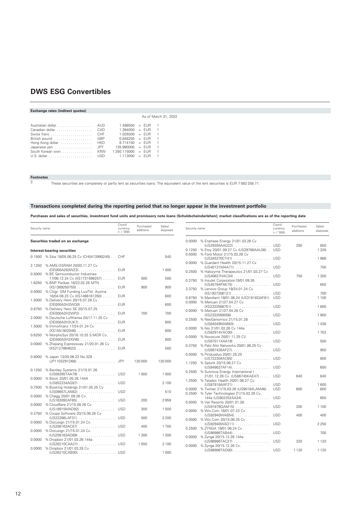# **Exchange rates (indirect quotes)**

|                       | $1.488550 = FUR$     |  | $\overline{1}$ |  |
|-----------------------|----------------------|--|----------------|--|
| Canadian dollar CAD   | $1.394050 = FUR$     |  | $\overline{1}$ |  |
|                       | $1.029300 = FUR$     |  | $\overline{1}$ |  |
| British pound  GBP    | $0.848250 = FUR$     |  | $\overline{1}$ |  |
| Hong Kong dollar  HKD | $8.714150 = FUR$     |  | $\overline{1}$ |  |
| Japanese yen  JPY     | $135.990000 = FUR$   |  | $\overline{1}$ |  |
| South Korean won KRW  | $1.350.115000 = FUR$ |  | $\overline{1}$ |  |
|                       | $1.113000 = FUR$     |  | $\overline{1}$ |  |

# **Footnotes**

These securities are completely or partly lent as securities loans. The equivalent value of the lent securities is EUR 7 083 258.71.

As of March 31, 2022

#### **Transactions completed during the reporting period that no longer appear in the investment portfolio**

**Purchases and sales of securities, investment fund units and promissory note loans (Schuldscheindarlehen); market classifications are as of the reporting date**

| Security name |                                                          | Count/<br>currency<br>$(- / '000)$ | Purchases/<br>additions | Sales/<br>disposals | Security name |                                                                        | Count/<br>currency<br>$(- / 000)$ | Purchases/<br>additions | Sales/<br>disposals |
|---------------|----------------------------------------------------------|------------------------------------|-------------------------|---------------------|---------------|------------------------------------------------------------------------|-----------------------------------|-------------------------|---------------------|
|               | Securities traded on an exchange                         |                                    |                         |                     |               | 0.0000 % Enphase Energy 21/01.03.26 Cv<br>(US29355AAG22)               | <b>USD</b>                        | 250                     | 850                 |
|               | Interest-bearing securities                              |                                    |                         |                     |               | 0.1250 % Etsy 20/01.09.27 Cv (US29786AAL08)                            | <b>USD</b>                        |                         | 1328                |
|               | 0.1500 % Sika 18/05.06.25 Cv (CH0413990240) . CHF        |                                    |                         | 540                 |               | 0.0000 % Ford Motor 21/15.03.26 Cv<br>(US345370CY41)                   | <b>USD</b>                        |                         | 1988                |
| 2.1250        | % AMS-OSRAM 20/03.11.27 Cv                               |                                    |                         |                     |               | 0.0000 % Guardant Health 20/15.11.27 Cv                                | <b>USD</b>                        |                         | 700                 |
|               |                                                          | <b>EUR</b>                         |                         | 1 0 0 0             |               | (US40131MAA71)<br>0.2500 % Halozyme Therapeutics 21/01.03.27 Cv        |                                   |                         |                     |
|               | 0.5000 % BE Semiconductor Industries                     |                                    |                         |                     |               | (US40637HAC34) USD                                                     |                                   | 750                     | 1350                |
|               | 17/06.12.24 Cv (XS1731596257)                            | EUR                                | 500                     | 500                 |               | 0.3750 % Insulet Corporation19/01.09.26                                |                                   |                         |                     |
|               | 1.6250 % BNP Paribas 16/23.02.26 MTN                     |                                    |                         |                     |               | (US45784PAK75)  USD                                                    |                                   |                         | 650                 |
|               | (XS1369250755) EUR                                       |                                    | 900                     | 900                 |               | 3.3750 % Lenovo Group 19/24.01.24 Cv                                   |                                   |                         |                     |
|               | 0.5000 % Citigr. GM Funding Lux/Tel. Austria             |                                    |                         |                     |               | $(XS1937306121)$                                                       | <b>USD</b>                        |                         | 700                 |
|               | 16/04.08.23 Cv (XS1466161350)                            | <b>EUR</b>                         |                         | 600                 |               | 0.8750 % Mandiant 18/01.06.24 (US31816QAF81) USD                       |                                   |                         | 1 1 0 0             |
|               | 1.5000 % Delivery Hero 20/15.07.28 Cv                    | <b>EUR</b>                         |                         | 600                 |               | 0.0000 % Meituan 21/27.04.27 Cv.                                       |                                   |                         |                     |
|               | (DE000A3H2WQ0)<br>0.8750 % Delivery Hero SE 20/15.07.25  |                                    |                         |                     |               |                                                                        |                                   |                         | 1600                |
|               | (DE000A3H2WP2)                                           | <b>EUR</b>                         | 700                     | 700                 |               | 0.0000 % Meituan 21/27.04.28 Cv                                        |                                   |                         |                     |
|               | 2.0000 % Deutsche Lufthansa 20/17.11.25 Cv               |                                    |                         |                     |               |                                                                        |                                   |                         | 1900                |
|               | (DE000A3H2UK7)                                           | EUR                                |                         | 800                 |               | 0.2500 % NeoGenomics 21/15.01.28                                       |                                   |                         |                     |
|               | 1.5000 % Immofinanz 17/24.01.24 Cv                       |                                    |                         |                     |               |                                                                        |                                   |                         | 1436                |
|               | $(XS1551932046)$                                         | <b>EUR</b>                         |                         | 800                 |               | 0.0000 % Nio 21/01.02.26 Cv 144a                                       |                                   |                         | 1753                |
|               | 0.6250 % MorphoSys 20/16.10.25 S.MOR Cv.                 |                                    |                         |                     |               | (US62914VAC00) USD<br>0.0000 % Novocure 20/01.11.25 CV                 |                                   |                         |                     |
|               | $(DE000A3H2XW6)$                                         | <b>EUR</b>                         |                         | 800                 |               | (US67011XAA19)  USD                                                    |                                   |                         | 500                 |
|               | 0.0000 % Zhejiang Expressway 21/20.01.26 Cv              |                                    |                         |                     |               | 0.3750 % Palo Alto Networks 20/01.06.25 Cv                             |                                   |                         |                     |
|               | $(XS2127864622)$                                         | <b>EUR</b>                         |                         | 500                 |               | (US697435AF27) USD                                                     |                                   |                         | 950                 |
|               |                                                          |                                    |                         |                     |               | 0.0000 % Pinduoduo 20/01.25.25                                         |                                   |                         |                     |
|               | 0.8000 % Japan 13/20.06.23 No.329                        |                                    |                         |                     |               | (US722304AC65)  USD                                                    |                                   |                         | 600                 |
|               | $(JP1103291D68)$                                         | <b>JPY</b>                         | 130 000                 | 130 000             |               | 1.1250 % Splunk 20/15.06.27 Cv                                         |                                   |                         |                     |
|               |                                                          |                                    |                         |                     |               | (US848637AF14) USD                                                     |                                   |                         | 600                 |
|               | 0.1250 % Bentley Systems 21/15.01.26<br>(US08265TAA79)   | <b>USD</b>                         | 1000                    | 1 0 0 0             |               | 0.2500 % Sunnova Energy International I                                |                                   |                         |                     |
|               | 0.0000 % Block 20/01.05.26 144A                          |                                    |                         |                     |               | 21/01.12.26 Cv. (US86745KAE47) USD                                     |                                   | 640                     | 640                 |
|               | (US852234AG87)  USD                                      |                                    |                         | 2 1 0 0             |               | 1.2500 % Teladoc Health 20/01.06.27 Cv.                                |                                   |                         |                     |
|               | 0.7500 % Booking Holdings 21/01.05.25 Cv                 |                                    |                         |                     |               | (US87918AAF21)                                                         | <b>USD</b>                        |                         | 1600                |
|               | (US09857LAN82)  USD                                      |                                    |                         | 510                 |               | 0.0000 % Twitter 21/15.03.26 (US90184LAM46)                            | <b>USD</b>                        | 600                     | 600                 |
|               | 0.0000 % Chegg 20/01.09.26 Cv.                           |                                    |                         |                     |               | 0.2500 % Tyler Technologies 21/15.03.26 Cv.<br>144a (US902252AA34) USD |                                   |                         | 600                 |
|               | (US163092AF65)USD                                        |                                    | 200                     | 2959                |               | 0.0000 % Vail Resorts 20/01.01.26                                      |                                   |                         |                     |
|               | 0.0000 % Cloudflare 21/15.08.26 Cv.                      |                                    |                         |                     |               | (US91879QAM15)  USD                                                    |                                   | 200                     | 1 1 0 0             |
|               | (US18915MAD92)                                           | <b>USD</b>                         | 300                     | 1500                |               | 0.0000 % Wix.Com 18/01.07.23 Cv                                        |                                   |                         |                     |
|               | 0.3750 % Coupa Software 20/15.06.26 Cv                   |                                    |                         |                     |               | (US92940WAB54)USD                                                      |                                   | 400                     | 400                 |
|               | (US22266LAF31) USD                                       |                                    | 500                     | 2 2 0 0             |               | 0.0000 % Wix.Com 20/15.08.25 Cv                                        |                                   |                         |                     |
|               | 0.0000 % Docusign 21/15.01.24 Cv.                        |                                    |                         |                     |               | (US92940WAD11)  USD                                                    |                                   |                         | 2 2 5 0             |
|               | (US256163AC07)  USD                                      |                                    | 400                     | 1700                |               | 0.2500 % ZYNGA 19/01.06.24 Cv                                          |                                   |                         |                     |
|               | 0.0000 % Docusign 21/15.01.24 Cv.                        |                                    |                         |                     |               | (US98986TAB44)  USD                                                    |                                   |                         | 700                 |
|               | (US256163AD89)  USD<br>0.0000 % Dropbox 21/01.03.26 144a |                                    | 1300                    | 1 3 0 0             |               | 0.0000 % Zynga 20/15.12.26 144a                                        |                                   |                         |                     |
|               | (US26210CAA27) USD                                       |                                    | 1550                    | 2 1 0 0             |               | (US98986TAC27) USD                                                     |                                   | 320                     | 1 1 2 0             |
|               | 0.0000 % Dropbox 21/01.03.28 Cv                          |                                    |                         |                     |               | 0.0000 % Zynga 20/15.12.26 Cv.                                         |                                   |                         |                     |
|               | (US26210CAB00)  USD                                      |                                    |                         | 1 0 0 0             |               | (US98986TAD00) USD                                                     |                                   | 1120                    | 1 1 2 0             |
|               |                                                          |                                    |                         |                     |               |                                                                        |                                   |                         |                     |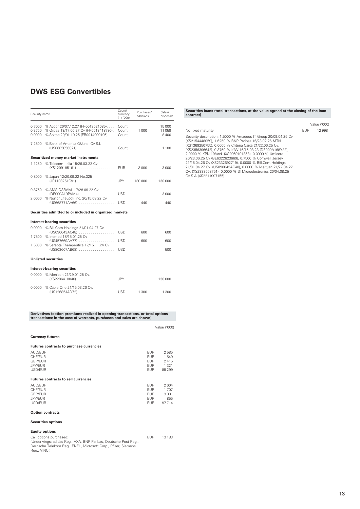| Security name              |                                                                                                                     | Count/<br>currency<br>$(-/000)$ | Purchases/<br>additions | Sales/<br>disposals      |
|----------------------------|---------------------------------------------------------------------------------------------------------------------|---------------------------------|-------------------------|--------------------------|
| 0.7000<br>0.3750<br>0.0000 | % Accor 20/07.12.27 (FR0013521085)<br>% Orpea 19/17.05.27 Cv (FR0013418795).<br>% Soitec 20/01.10.25 (FR0014000105) | Count<br>Count<br>Count         | 1000                    | 15 000<br>11 059<br>8400 |
| 7.2500                     | % Bank of America 08/und, Cv S.L<br>$(US0605056821)$                                                                | Count                           |                         | 1 1 0 0                  |
|                            | Securitized money market instruments                                                                                |                                 |                         |                          |
| 1.1250                     | % Telecom Italia 15/26.03.22 Cv<br>$(XS1209185161) \ldots \ldots \ldots \ldots \ldots$                              | <b>FUR</b>                      | 3000                    | 3000                     |
| 0.8000                     | % Japan 12/20.09.22 No.325<br>$(JP1103251C91)$                                                                      | <b>JPY</b>                      | 130000                  | 130 000                  |
| 0.8750                     | % AMS-OSRAM 17/28.09.22 Cv<br>(DE000A19PVM4)                                                                        | <b>USD</b>                      |                         | 3000                     |
| 2.0000                     | % NortonLifeLock Inc. 20/15.08.22 Cv                                                                                | USD.                            | 440                     | 440                      |
|                            | Securities admitted to or included in organized markets                                                             |                                 |                         |                          |
|                            | Interest-bearing securities                                                                                         |                                 |                         |                          |
| 0.0000<br>1.7500           | % Bill.Com Holdings 21/01.04.27 Cv.<br>$(US090043AC48)$<br>% Insmed 18/15.01.25 Cv                                  | <b>USD</b>                      | 600                     | 600                      |
|                            | (US457669AA77)                                                                                                      | <b>USD</b>                      | 600                     | 600                      |
| 1.5000                     | % Sarepta Therapeutics 17/15.11.24 Cv<br>(US803607AB68)                                                             | <b>USD</b>                      |                         | 500                      |
|                            | <b>Unlisted securities</b>                                                                                          |                                 |                         |                          |
|                            | Interest-bearing securities                                                                                         |                                 |                         |                          |
| 0.0000                     | % Menicon 21/29.01.25 Cv.<br>$(XS2286418046) \ldots \ldots \ldots \ldots \ldots$                                    | <b>JPY</b>                      |                         | 130 000                  |
| 0.0000                     | % Cable One 21/15.03.26 Cv.<br>(US12685JAD72)  USD                                                                  |                                 | 1300                    | 1 300                    |
|                            |                                                                                                                     |                                 |                         |                          |

**Derivatives (option premiums realized in opening transactions, or total options transactions; in the case of warrants, purchases and sales are shown)**

|                                                     |                                                  | Value ('000)                          |
|-----------------------------------------------------|--------------------------------------------------|---------------------------------------|
| <b>Currency futures</b>                             |                                                  |                                       |
| Futures contracts to purchase currencies            |                                                  |                                       |
| AUD/EUR<br>CHF/EUR<br>GBP/EUR<br>JPY/EUR<br>USD/EUR | EUR.<br>EUR.<br><b>EUR</b><br>EUR<br>EUR.        | 2585<br>1549<br>2415<br>1321<br>89299 |
| <b>Futures contracts to sell currencies</b>         |                                                  |                                       |
| AUD/EUR<br>CHF/EUR<br>GBP/EUR<br>JPY/EUR<br>USD/EUR | <b>EUR</b><br><b>FUR</b><br>EUR.<br>EUR.<br>EUR. | 2604<br>1707<br>3001<br>855<br>97714  |
| <b>Option contracts</b>                             |                                                  |                                       |
| <b>Securities options</b>                           |                                                  |                                       |

#### **Equity options**

| Call options purchased:                                          | FUR | 13 183 |
|------------------------------------------------------------------|-----|--------|
| (Underlyings: adidas Reg., AXA, BNP Paribas, Deutsche Post Reg., |     |        |
| Deutsche Telekom Rea., ENEL, Microsoft Corp., Pfizer, Siemens    |     |        |
| Rea., VINCI)                                                     |     |        |

# **Securities loans (total transactions, at the value agreed at the closing of the loan contract)**

|                                                                                                                                                                                                                                                                                                                                                                                                                                                                                                                                                                                        |            | Value ('000) |
|----------------------------------------------------------------------------------------------------------------------------------------------------------------------------------------------------------------------------------------------------------------------------------------------------------------------------------------------------------------------------------------------------------------------------------------------------------------------------------------------------------------------------------------------------------------------------------------|------------|--------------|
| No fixed maturity                                                                                                                                                                                                                                                                                                                                                                                                                                                                                                                                                                      | <b>FUR</b> | 12998        |
| Security description: 1.5000 % Amadeus IT Group 20/09.04.25 Cv<br>(XS2154448059), 1.6250 % BNP Paribas 16/23.02.26 MTN<br>(XS1369250755), 0.0000 % Criteria Caixa 21/22.06.25 Cv.<br>(XS2356306642), 0.3750 % KfW 16/15.03.23 (DE000A168Y22),<br>2.0000 % KPN 19/und. (XS2069101868), 0.0000 % Umicore<br>20/23.06.25 Cv (BE6322623669), 0.7500 % Cornwall Jersey<br>21/16.04.26 Cv (XS2332692719), 0.0000 % Bill.Com Holdings<br>21/01.04.27 Cv. (US090043AC48), 0.0000 % Meituan 21/27.04.27<br>Cy. (XS2333568751), 0.0000 % STMicroelectronics 20/04.08.25<br>Cv S.A (XS2211997155) |            |              |
|                                                                                                                                                                                                                                                                                                                                                                                                                                                                                                                                                                                        |            |              |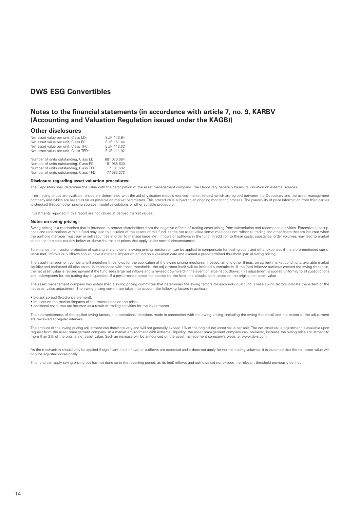### **Notes to the financial statements (in accordance with article 7, no. 9, KARBV (Accounting and Valuation Regulation issued under the KAGB))**

#### **Other disclosures**

| Net asset value per unit, Class LD:<br>Net asset value per unit, Class FC:<br>Net asset value per unit, Class TFC:<br>Net asset value per unit, Class TFD: | EUR 143.94<br>EUR 151.44<br>EUR 113.32<br>EUR 111.92 |
|------------------------------------------------------------------------------------------------------------------------------------------------------------|------------------------------------------------------|
| Number of units outstanding, Class LD:                                                                                                                     | 681 670.684                                          |
| Number of units outstanding, Class FC:                                                                                                                     | 191 988.630                                          |
| Number of units outstanding, Class TFC:                                                                                                                    | 17 181.692                                           |
| Number of units outstanding. Class TFD:                                                                                                                    | 77 583.373                                           |

#### **Disclosure regarding asset valuation procedures:**

The Depositary shall determine the value with the participation of the asset management company. The Depositary generally bases its valuation on external sources.

If no trading prices are available, prices are determined with the aid of valuation models (derived market values) which are agreed between the Depositary and the asset management company and which are based as far as possible on market parameters. This procedure is subject to an ongoing monitoring process. The plausibility of price information from third parties is checked through other pricing sources, model calculations or other suitable procedure.

Investments reported in this report are not valued at derived market values.

#### **Notes on swing pricing**

Swing pricing is a mechanism that is intended to protect shareholders from the negative effects of trading costs arising from subscription and redemption activities. Extensive subscriptions and redemptions within a fund may lead to a dilution of the assets of this fund, as the net asset value sometimes does not reflect all trading and other costs that are incurred when the portfolio manager must buy or sell securities in order to manage large (net) inflows or outflows in the fund. In addition to these costs, substantial order volumes may lead to market prices that are considerably below or above the market prices that apply under normal circumstances.

To enhance the investor protection of existing shareholders, a swing pricing mechanism can be applied to compensate for trading costs and other expenses if the aforementioned cumulative (net) inflows or outflows should have a material impact on a fund on a valuation date and exceed a predetermined threshold (partial swing pricing).

The asset management company will predefine thresholds for the application of the swing pricing mechanism, based, among other things, on current market conditions, available market liquidity and estimated dilution costs. In accordance with these thresholds, the adjustment itself will be initiated automatically. If the (net) inflows/ outflows exceed the swing threshold, the net asset value is revised upward if the fund sees large net inflows and is revised downward in the event of large net outflows. This adjustment is applied uniformly to all subscriptions and redemptions for the trading day in question. If a performance-based fee applies for the fund, the calculation is based on the original net asset value.

The asset management company has established a swing pricing committee that determines the swing factors for each individual fund. These swing factors indicate the extent of the net asset value adjustment. The swing pricing committee takes into account the following factors in particular:

- bid-ask spread (fixed-price element)
- impacts on the market (impacts of the transactions on the price),
- additional costs that are incurred as a result of trading activities for the investments.

The appropriateness of the applied swing factors, the operational decisions made in connection with the swing pricing (including the swing threshold) and the extent of the adjustment are reviewed at regular intervals.

The amount of the swing pricing adjustment can therefore vary and will not generally exceed 2% of the original net asset value per unit. The net asset value adjustment is available upon request from the asset management company. In a market environment with extreme illiquidity, the asset management company can, however, increase the swing price adjustment to<br>more than 2% of the original net asset value. S

As the mechanism should only be applied if significant (net) inflows or outflows are expected and it does not apply for normal trading volumes, it is assumed that the net asset value will only be adjusted occasionally.

This fund can apply swing pricing but has not done so in the reporting period, as its (net) inflows and outflows did not exceed the relevant threshold previously defined.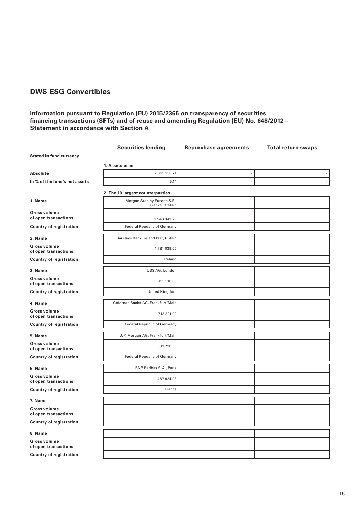### **Information pursuant to Regulation (EU) 2015/2365 on transparency of securities financing transactions (SFTs) and of reuse and amending Regulation (EU) No. 648/2012 – Statement in accordance with Section A**

|                                             | <b>Securities lending</b>                     | <b>Repurchase agreements</b> | <b>Total return swaps</b> |
|---------------------------------------------|-----------------------------------------------|------------------------------|---------------------------|
| <b>Stated in fund currency</b>              |                                               |                              |                           |
|                                             | 1. Assets used                                |                              |                           |
| <b>Absolute</b>                             | 7 083 258.71                                  |                              |                           |
| In % of the fund's net assets               | 5.14                                          |                              |                           |
|                                             | 2. The 10 largest counterparties              |                              |                           |
| 1. Name                                     | Morgan Stanley Europe S.E.,<br>Frankfurt/Main |                              |                           |
| <b>Gross volume</b><br>of open transactions | 2 543 843.28                                  |                              |                           |
| <b>Country of registration</b>              | <b>Federal Republic of Germany</b>            |                              |                           |
| 2. Name                                     | Barclays Bank Ireland PLC, Dublin             |                              |                           |
| Gross volume<br>of open transactions        | 1781039.00                                    |                              |                           |
| <b>Country of registration</b>              | Ireland                                       |                              |                           |
| 3. Name                                     | UBS AG, London                                |                              |                           |
| Gross volume<br>of open transactions        | 993 510.00                                    |                              |                           |
| <b>Country of registration</b>              | United Kingdom                                |                              |                           |
| 4. Name                                     | Goldman Sachs AG, Frankfurt/Main              |                              |                           |
| <b>Gross volume</b><br>of open transactions | 713 321.00                                    |                              |                           |
| <b>Country of registration</b>              | <b>Federal Republic of Germany</b>            |                              |                           |
| 5. Name                                     | J.P. Morgan AG, Frankfurt/Main                |                              |                           |
| <b>Gross volume</b><br>of open transactions | 583 720.50                                    |                              |                           |
| <b>Country of registration</b>              | <b>Federal Republic of Germany</b>            |                              |                           |
| 6. Name                                     | BNP Paribas S.A., Paris                       |                              |                           |
| Gross volume<br>of open transactions        | 467824.93                                     |                              |                           |
| <b>Country of registration</b>              | France                                        |                              |                           |
| 7. Name                                     |                                               |                              |                           |
| Gross volume<br>of open transactions        |                                               |                              |                           |
| <b>Country of registration</b>              |                                               |                              |                           |
| 8. Name                                     |                                               |                              |                           |
| Gross volume<br>of open transactions        |                                               |                              |                           |
| <b>Country of registration</b>              |                                               |                              |                           |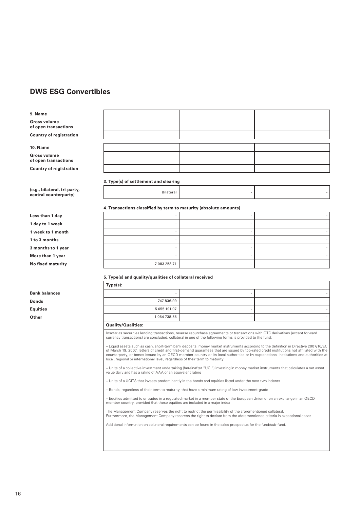# **9. Name**

**Gross volume of open transactions Country of registration**

#### **10. Name**

**Gross volume of open transactions Country of registration**

**3. Type(s) of settlement and clearing** 

#### **(e.g., bilateral, tri-party, central counterparty, and the set of the set of the set of the set of the set of the set of the set of the set o**<br> **central counterparty**)

|                    | 4. Transactions classified by term to maturity (absolute amounts) |  |
|--------------------|-------------------------------------------------------------------|--|
| Less than 1 day    |                                                                   |  |
| 1 day to 1 week    |                                                                   |  |
| 1 week to 1 month  |                                                                   |  |
| 1 to 3 months      |                                                                   |  |
| 3 months to 1 year |                                                                   |  |
| More than 1 year   |                                                                   |  |
| No fixed maturity  | 7 083 258.71                                                      |  |
|                    | 5. Type(s) and quality/qualities of collateral received           |  |

|                      | Type(s):     |  |
|----------------------|--------------|--|
| <b>Bank balances</b> |              |  |
| <b>Bonds</b>         | 747 836.99   |  |
| Equities             | 5 655 191.97 |  |
| Other                | 1064738.56   |  |

#### **Quality/Qualities:**

Insofar as securities lending transactions, reverse repurchase agreements or transactions with OTC derivatives (except forward<br>currency transactions) are concluded, collateral in one of the following forms is provided to t

– Liquid assets such as cash, short-term bank deposits, money market instruments according to the definition in Directive 2007/16/EC of March 19, 2007, letters of credit and first-demand guarantees that are issued by top-rated credit institutions not affiliated with the<br>counterparty, or bonds issued by an OECD member country or its local authorities or local, regional or international level, regardless of their term to maturity

– Units of a collective investment undertaking (hereinafter "UCI") investing in money market instruments that calculates a net asset value daily and has a rating of AAA or an equivalent rating

– Units of a UCITS that invests predominantly in the bonds and equities listed under the next two indents

– Bonds, regardless of their term to maturity, that have a minimum rating of low investment-grade

– Equities admitted to or traded in a regulated market in a member state of the European Union or on an exchange in an OECD member country, provided that these equities are included in a major index

The Management Company reserves the right to restrict the permissibility of the aforementioned collateral.<br>Furthermore, the Management Company reserves the right to deviate from the aforementioned criteria in exceptional c

Additional information on collateral requirements can be found in the sales prospectus for the fund/sub-fund.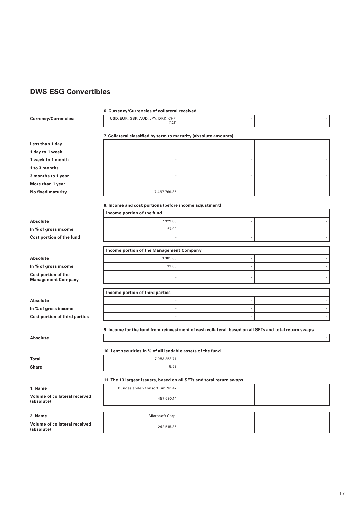|                                                  | 6. Currency/Currencies of collateral received                                                         |  |
|--------------------------------------------------|-------------------------------------------------------------------------------------------------------|--|
| Currency/Currencies:                             | USD; EUR; GBP; AUD; JPY; DKK; CHF;<br>CAD                                                             |  |
|                                                  |                                                                                                       |  |
|                                                  | 7. Collateral classified by term to maturity (absolute amounts)                                       |  |
| Less than 1 day                                  |                                                                                                       |  |
| 1 day to 1 week                                  |                                                                                                       |  |
| 1 week to 1 month                                |                                                                                                       |  |
| 1 to 3 months                                    |                                                                                                       |  |
| 3 months to 1 year                               |                                                                                                       |  |
| More than 1 year                                 |                                                                                                       |  |
| No fixed maturity                                | 7 467 769.85                                                                                          |  |
|                                                  | 8. Income and cost portions (before income adjustment)                                                |  |
|                                                  | Income portion of the fund                                                                            |  |
| Absolute                                         | 7929.88                                                                                               |  |
| In % of gross income                             | 67.00                                                                                                 |  |
| Cost portion of the fund                         |                                                                                                       |  |
|                                                  | Income portion of the Management Company                                                              |  |
|                                                  |                                                                                                       |  |
| Absolute                                         | 3905.65<br>33.00                                                                                      |  |
| In % of gross income                             |                                                                                                       |  |
| Cost portion of the<br><b>Management Company</b> |                                                                                                       |  |
|                                                  | Income portion of third parties                                                                       |  |
| Absolute                                         |                                                                                                       |  |
| In % of gross income                             |                                                                                                       |  |
| Cost portion of third parties                    |                                                                                                       |  |
|                                                  |                                                                                                       |  |
|                                                  | 9. Income for the fund from reinvestment of cash collateral, based on all SFTs and total return swaps |  |
| Absolute                                         |                                                                                                       |  |
|                                                  | 10. Lent securities in % of all lendable assets of the fund                                           |  |
| Total                                            | 7 083 258.71                                                                                          |  |
| Share                                            | 5.53                                                                                                  |  |
|                                                  | 11. The 10 largest issuers, based on all SFTs and total return swaps                                  |  |
| 1. Name                                          | Bundesländer-Konsortium Nr. 47                                                                        |  |
| Volume of collateral received                    |                                                                                                       |  |
| (absolute)                                       | 487 690.14                                                                                            |  |
|                                                  |                                                                                                       |  |
| 2. Name                                          | Microsoft Corp.                                                                                       |  |
| Volume of collateral received<br>(absolute)      | 242 515.36                                                                                            |  |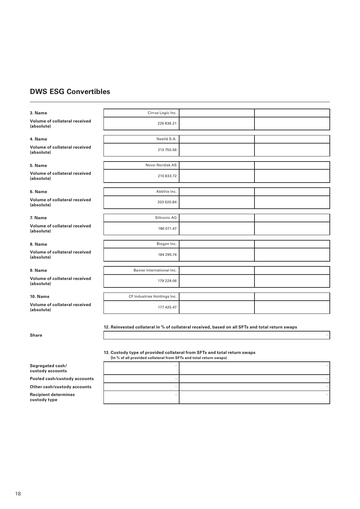# **3. Name** Cirrus Logic Inc. **Volume of collateral received VOIUME OF CONSTRUES RECEIVED**<br>(absolute) 226 836.21 **4. Name** Nestlé S.A. **Volume of collateral received Volume of collateral received**<br>(absolute) 213 750.56 **5. Name** Novo-Nordisk AS **Volume of collateral received (absolute)** 210 833.72 **6. Name** AbbVie Inc. **Volume of collateral received Volume of collateral received**<br>(absolute) 203 620.84 **7. Name** Siltronic AG **Volume of collateral received Volume of collateral received<br>(absolute) 186 071.47 8. Name** Biogen Inc. **Volume of collateral received (absolute)** 184 295.74 **9. Name** Baxter International Inc. **Volume of collateral received (absolute)** 179 229.06 **10. Name** CF Industries Holdings Inc. **Volume of collateral received (absolute)** 177 425.47

**12. Reinvested collateral in % of collateral received, based on all SFTs and total return swaps**

**Share** -

#### **13. Custody type of provided collateral from SFTs and total return swaps (In % of all provided collateral from SFTs and total return swaps)**

| (iii % of all provided conateral from SFTs and total return swaps) |  |
|--------------------------------------------------------------------|--|
|                                                                    |  |
|                                                                    |  |
|                                                                    |  |
|                                                                    |  |

**Segregated cash/ custody accounts**

**Pooled cash/custody accounts** 

**Other cash/custody accounts** 

**Recipient determines custody type**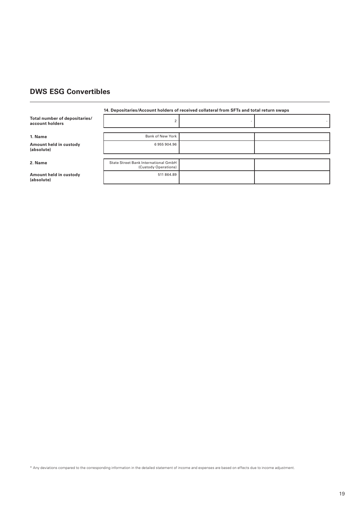#### **14. Depositaries/Account holders of received collateral from SFTs and total return swaps**

**Total number of depositaries/**  account holders

#### **1. Name**

**Amount held in custody (absolute)**

#### 2. Name

**Amount held in custody (absolute)**

|  | $\overline{2}$                                               |
|--|--------------------------------------------------------------|
|  |                                                              |
|  | Bank of New York                                             |
|  | 6955904.96                                                   |
|  |                                                              |
|  | State Street Bank International GmbH<br>(Custody Operations) |
|  | 511 864.89                                                   |

\* Any deviations compared to the corresponding information in the detailed statement of income and expenses are based on effects due to income adjustment.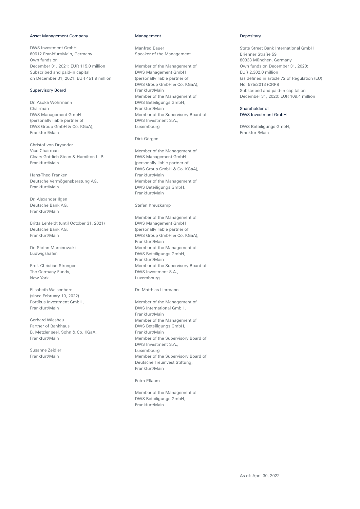#### Asset Management Company

DWS Investment GmbH 60612 Frankfurt/Main, Germany Own funds on December 31, 2021: EUR 115.0 million Subscribed and paid-in capital on December 31, 2021: EUR 451.9 million

#### Supervisory Board

Dr. Asoka Wöhrmann Chairman DWS Management GmbH (personally liable partner of DWS Group GmbH & Co. KGaA), Frankfurt/Main

Christof von Dryander Vice-Chairman Cleary Gottlieb Steen & Hamilton LLP, Frankfurt/Main

Hans-Theo Franken Deutsche Vermögensberatung AG, Frankfurt/Main

Dr. Alexander Ilgen Deutsche Bank AG, Frankfurt/Main

Britta Lehfeldt (until October 31, 2021) Deutsche Bank AG, Frankfurt/Main

Dr. Stefan Marcinowski Ludwigshafen

Prof. Christian Strenger The Germany Funds, New York

Elisabeth Weisenhorn (since February 10, 2022) Portikus Investment GmbH, Frankfurt/Main

Gerhard Wiesheu Partner of Bankhaus B. Metzler seel. Sohn & Co. KGaA, Frankfurt/Main

Susanne Zeidler Frankfurt/Main

#### Management

Manfred Bauer Speaker of the Management

Member of the Management of DWS Management GmbH (personally liable partner of DWS Group GmbH & Co. KGaA), Frankfurt/Main Member of the Management of DWS Beteiligungs GmbH, Frankfurt/Main Member of the Supervisory Board of DWS Investment S.A., Luxembourg

#### Dirk Görgen

Member of the Management of DWS Management GmbH (personally liable partner of DWS Group GmbH & Co. KGaA), Frankfurt/Main Member of the Management of DWS Beteiligungs GmbH, Frankfurt/Main

#### Stefan Kreuzkamp

Member of the Management of DWS Management GmbH (personally liable partner of DWS Group GmbH & Co. KGaA), Frankfurt/Main Member of the Management of DWS Beteiligungs GmbH, Frankfurt/Main Member of the Supervisory Board of DWS Investment S.A., Luxembourg

#### Dr. Matthias Liermann

Member of the Management of DWS International GmbH, Frankfurt/Main Member of the Management of DWS Beteiligungs GmbH, Frankfurt/Main Member of the Supervisory Board of DWS Investment S.A., Luxembourg Member of the Supervisory Board of Deutsche Treuinvest Stiftung, Frankfurt/Main

#### Petra Pflaum

Member of the Management of DWS Beteiligungs GmbH, Frankfurt/Main

#### Depositary

State Street Bank International GmbH Brienner Straße 59 80333 München, Germany Own funds on December 31, 2020: EUR 2,302.0 million (as defined in article 72 of Regulation (EU) No. 575/2013 (CRR)) Subscribed and paid-in capital on December 31, 2020: EUR 109.4 million

#### Shareholder of DWS Investment GmbH

DWS Beteiligungs GmbH, Frankfurt/Main